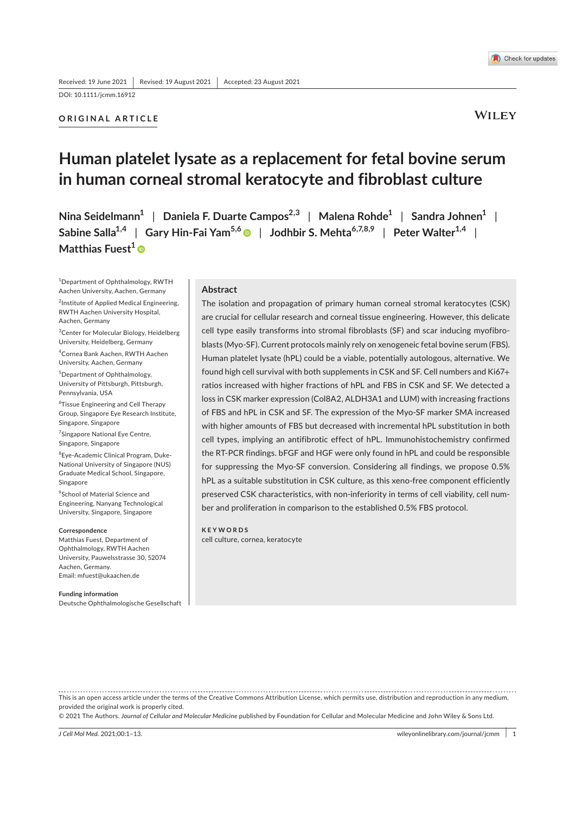DOI: 10.1111/jcmm.16912

# **ORIGINAL ARTICLE**

**WILEY** 

# **Human platelet lysate as a replacement for fetal bovine serum in human corneal stromal keratocyte and fibroblast culture**

**Nina Seidelmann1** | **Daniela F. Duarte Campos2,3** | **Malena Rohde1** | **Sandra Johnen1** | **Sabine Salla1,4** | **Gary Hin-Fai Yam5,6** | **Jodhbir S. Mehta6,7,8,9** | **Peter Walter1,4** | **Matthias Fuest<sup>1</sup><sup>®</sup>** 

<sup>1</sup>Department of Ophthalmology, RWTH Aachen University, Aachen, Germany <sup>2</sup>Institute of Applied Medical Engineering, RWTH Aachen University Hospital, Aachen, Germany

<sup>3</sup>Center for Molecular Biology, Heidelberg

University, Heidelberg, Germany 4 Cornea Bank Aachen, RWTH Aachen University, Aachen, Germany

5 Department of Ophthalmology, University of Pittsburgh, Pittsburgh, Pennsylvania, USA

6 Tissue Engineering and Cell Therapy Group, Singapore Eye Research Institute, Singapore, Singapore

<sup>7</sup>Singapore National Eye Centre, Singapore, Singapore

8 Eye-Academic Clinical Program, Duke-National University of Singapore (NUS) Graduate Medical School, Singapore, Singapore

9 School of Material Science and Engineering, Nanyang Technological University, Singapore, Singapore

#### **Correspondence**

Matthias Fuest, Department of Ophthalmology, RWTH Aachen University, Pauwelsstrasse 30, 52074 Aachen, Germany. Email: mfuest@ukaachen.de

**Funding information** Deutsche Ophthalmologische Gesellschaft

# **Abstract**

The isolation and propagation of primary human corneal stromal keratocytes (CSK) are crucial for cellular research and corneal tissue engineering. However, this delicate cell type easily transforms into stromal fibroblasts (SF) and scar inducing myofibroblasts (Myo-SF). Current protocols mainly rely on xenogeneic fetal bovine serum (FBS). Human platelet lysate (hPL) could be a viable, potentially autologous, alternative. We found high cell survival with both supplements in CSK and SF. Cell numbers and Ki67+ ratios increased with higher fractions of hPL and FBS in CSK and SF. We detected a loss in CSK marker expression (Col8A2, ALDH3A1 and LUM) with increasing fractions of FBS and hPL in CSK and SF. The expression of the Myo-SF marker SMA increased with higher amounts of FBS but decreased with incremental hPL substitution in both cell types, implying an antifibrotic effect of hPL. Immunohistochemistry confirmed the RT-PCR findings. bFGF and HGF were only found in hPL and could be responsible for suppressing the Myo-SF conversion. Considering all findings, we propose 0.5% hPL as a suitable substitution in CSK culture, as this xeno-free component efficiently preserved CSK characteristics, with non-inferiority in terms of cell viability, cell number and proliferation in comparison to the established 0.5% FBS protocol.

**KEYWORDS** cell culture, cornea, keratocyte

This is an open access article under the terms of the Creative Commons Attribution License, which permits use, distribution and reproduction in any medium, provided the original work is properly cited.

© 2021 The Authors. *Journal of Cellular and Molecular Medicine* published by Foundation for Cellular and Molecular Medicine and John Wiley & Sons Ltd.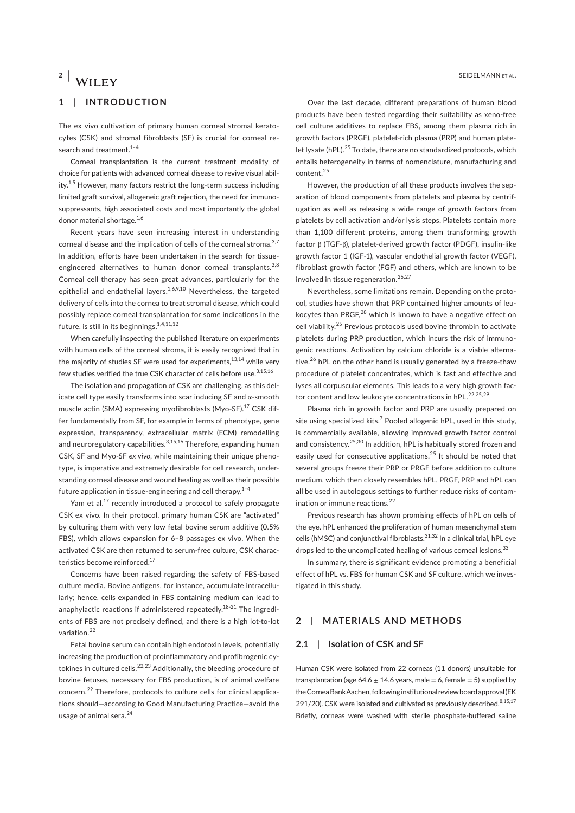# **2 <sup>|</sup>**  SEIDELMANN Et AL.

# **1**  | **INTRODUCTION**

The ex vivo cultivation of primary human corneal stromal keratocytes (CSK) and stromal fibroblasts (SF) is crucial for corneal research and treatment.<sup>1-4</sup>

Corneal transplantation is the current treatment modality of choice for patients with advanced corneal disease to revive visual ability.<sup>1,5</sup> However, many factors restrict the long-term success including limited graft survival, allogeneic graft rejection, the need for immunosuppressants, high associated costs and most importantly the global donor material shortage.<sup>1,6</sup>

Recent years have seen increasing interest in understanding corneal disease and the implication of cells of the corneal stroma.<sup>3,7</sup> In addition, efforts have been undertaken in the search for tissueengineered alternatives to human donor corneal transplants.<sup>2,8</sup> Corneal cell therapy has seen great advances, particularly for the epithelial and endothelial layers.<sup>1,6,9,10</sup> Nevertheless, the targeted delivery of cells into the cornea to treat stromal disease, which could possibly replace corneal transplantation for some indications in the future, is still in its beginnings. $1,4,11,12$ 

When carefully inspecting the published literature on experiments with human cells of the corneal stroma, it is easily recognized that in the majority of studies SF were used for experiments, $^{13,14}$  while very few studies verified the true CSK character of cells before use.<sup>3,15,16</sup>

The isolation and propagation of CSK are challenging, as this delicate cell type easily transforms into scar inducing SF and α-smooth muscle actin (SMA) expressing myofibroblasts (Myo-SF).<sup>17</sup> CSK differ fundamentally from SF, for example in terms of phenotype, gene expression, transparency, extracellular matrix (ECM) remodelling and neuroregulatory capabilities.  $3,15,16$  Therefore, expanding human CSK, SF and Myo-SF *ex vivo*, while maintaining their unique phenotype, is imperative and extremely desirable for cell research, understanding corneal disease and wound healing as well as their possible future application in tissue-engineering and cell therapy.<sup>1-4</sup>

Yam et al.<sup>17</sup> recently introduced a protocol to safely propagate CSK ex vivo. In their protocol, primary human CSK are "activated" by culturing them with very low fetal bovine serum additive (0.5% FBS), which allows expansion for 6–8 passages ex vivo. When the activated CSK are then returned to serum-free culture, CSK characteristics become reinforced.<sup>17</sup>

Concerns have been raised regarding the safety of FBS-based culture media. Bovine antigens, for instance, accumulate intracellularly; hence, cells expanded in FBS containing medium can lead to anaphylactic reactions if administered repeatedly.<sup>18-21</sup> The ingredients of FBS are not precisely defined, and there is a high lot-to-lot variation.<sup>22</sup>

Fetal bovine serum can contain high endotoxin levels, potentially increasing the production of proinflammatory and profibrogenic cytokines in cultured cells.<sup>22,23</sup> Additionally, the bleeding procedure of bovine fetuses, necessary for FBS production, is of animal welfare concern.<sup>22</sup> Therefore, protocols to culture cells for clinical applications should—according to Good Manufacturing Practice—avoid the usage of animal sera.<sup>24</sup>

Over the last decade, different preparations of human blood products have been tested regarding their suitability as xeno-free cell culture additives to replace FBS, among them plasma rich in growth factors (PRGF), platelet-rich plasma (PRP) and human platelet lysate (hPL).<sup>25</sup> To date, there are no standardized protocols, which entails heterogeneity in terms of nomenclature, manufacturing and content.<sup>25</sup>

However, the production of all these products involves the separation of blood components from platelets and plasma by centrifugation as well as releasing a wide range of growth factors from platelets by cell activation and/or lysis steps. Platelets contain more than 1,100 different proteins, among them transforming growth factor β (TGF-β), platelet-derived growth factor (PDGF), insulin-like growth factor 1 (IGF-1), vascular endothelial growth factor (VEGF), fibroblast growth factor (FGF) and others, which are known to be involved in tissue regeneration.<sup>26,27</sup>

Nevertheless, some limitations remain. Depending on the protocol, studies have shown that PRP contained higher amounts of leukocytes than PRGF,<sup>28</sup> which is known to have a negative effect on cell viability.<sup>25</sup> Previous protocols used bovine thrombin to activate platelets during PRP production, which incurs the risk of immunogenic reactions. Activation by calcium chloride is a viable alternative.<sup>26</sup> hPL on the other hand is usually generated by a freeze-thaw procedure of platelet concentrates, which is fast and effective and lyses all corpuscular elements. This leads to a very high growth factor content and low leukocyte concentrations in hPL.<sup>22,25,29</sup>

Plasma rich in growth factor and PRP are usually prepared on site using specialized kits. $^7$  Pooled allogenic hPL, used in this study, is commercially available, allowing improved growth factor control and consistency.<sup>25,30</sup> In addition, hPL is habitually stored frozen and easily used for consecutive applications.<sup>25</sup> It should be noted that several groups freeze their PRP or PRGF before addition to culture medium, which then closely resembles hPL. PRGF, PRP and hPL can all be used in autologous settings to further reduce risks of contamination or immune reactions.<sup>22</sup>

Previous research has shown promising effects of hPL on cells of the eye. hPL enhanced the proliferation of human mesenchymal stem cells (hMSC) and conjunctival fibroblasts.<sup>31,32</sup> In a clinical trial, hPL eye drops led to the uncomplicated healing of various corneal lesions.<sup>33</sup>

In summary, there is significant evidence promoting a beneficial effect of hPL vs. FBS for human CSK and SF culture, which we investigated in this study.

# **2**  | **MATERIALS AND METHODS**

### **2.1**  | **Isolation of CSK and SF**

Human CSK were isolated from 22 corneas (11 donors) unsuitable for transplantation (age  $64.6 \pm 14.6$  years, male = 6, female = 5) supplied by the Cornea Bank Aachen, following institutional review board approval (EK 291/20). CSK were isolated and cultivated as previously described. $8,15,17$ Briefly, corneas were washed with sterile phosphate-buffered saline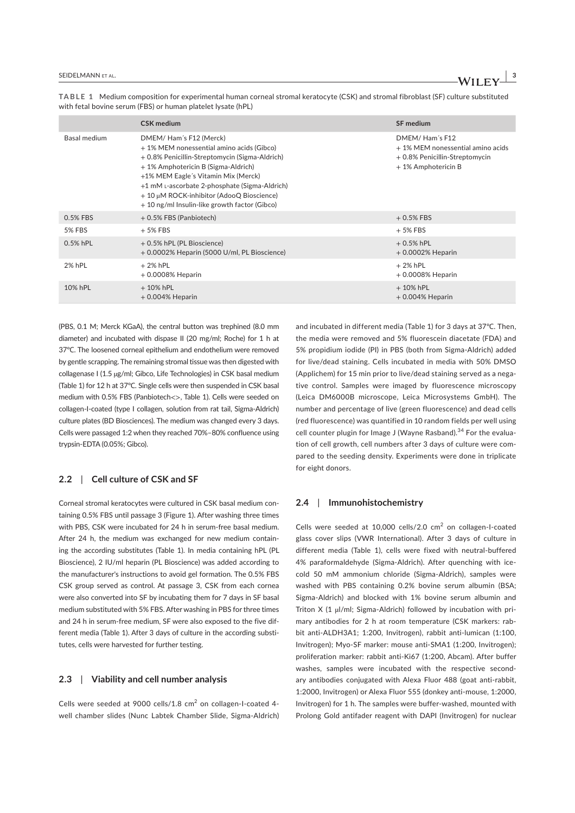|                     | <b>CSK</b> medium                                                                                                                                                                                                                                                                                                                                  | <b>SF</b> medium                                                                                             |
|---------------------|----------------------------------------------------------------------------------------------------------------------------------------------------------------------------------------------------------------------------------------------------------------------------------------------------------------------------------------------------|--------------------------------------------------------------------------------------------------------------|
| <b>Basal medium</b> | DMEM/Ham's F12 (Merck)<br>+ 1% MEM nonessential amino acids (Gibco)<br>+ 0.8% Penicillin-Streptomycin (Sigma-Aldrich)<br>+ 1% Amphotericin B (Sigma-Aldrich)<br>+1% MEM Eagle's Vitamin Mix (Merck)<br>+1 mM L-ascorbate 2-phosphate (Sigma-Aldrich)<br>+ 10 µM ROCK-inhibitor (AdooQ Bioscience)<br>+ 10 ng/ml Insulin-like growth factor (Gibco) | DMEM/Ham's F12<br>+ 1% MEM nonessential amino acids<br>+ 0.8% Penicillin-Streptomycin<br>+ 1% Amphotericin B |
| 0.5% FBS            | + 0.5% FBS (Panbiotech)                                                                                                                                                                                                                                                                                                                            | $+0.5%$ FBS                                                                                                  |
| 5% FBS              | $+5\%$ FBS                                                                                                                                                                                                                                                                                                                                         | $+5%$ FBS                                                                                                    |
| $0.5%$ hPL          | + 0.5% hPL (PL Bioscience)<br>+ 0.0002% Heparin (5000 U/ml, PL Bioscience)                                                                                                                                                                                                                                                                         | $+0.5%$ hPL<br>$+0.0002\%$ Heparin                                                                           |
| 2% hPL              | $+2\%$ hPL<br>$+0.0008\%$ Heparin                                                                                                                                                                                                                                                                                                                  | $+2\%$ hPL<br>$+0.0008\%$ Heparin                                                                            |
| 10% hPL             | $+10\%$ hPL<br>$+0.004\%$ Heparin                                                                                                                                                                                                                                                                                                                  | $+10\%$ hPL<br>$+0.004\%$ Heparin                                                                            |

**TABLE 1** Medium composition for experimental human corneal stromal keratocyte (CSK) and stromal fibroblast (SF) culture substituted with fetal bovine serum (FBS) or human platelet lysate (hPL)

(PBS, 0.1 M; Merck KGaA), the central button was trephined (8.0 mm diameter) and incubated with dispase II (20 mg/ml; Roche) for 1 h at 37℃. The loosened corneal epithelium and endothelium were removed by gentle scrapping. The remaining stromal tissue was then digested with collagenase I (1.5 µg/ml; Gibco, Life Technologies) in CSK basal medium (Table 1) for 12 h at 37℃. Single cells were then suspended in CSK basal medium with 0.5% FBS (Panbiotech<>, Table 1). Cells were seeded on collagen-I-coated (type I collagen, solution from rat tail, Sigma-Aldrich) culture plates (BD Biosciences). The medium was changed every 3 days. Cells were passaged 1:2 when they reached 70%–80% confluence using trypsin-EDTA (0.05%; Gibco).

# **2.2**  | **Cell culture of CSK and SF**

Corneal stromal keratocytes were cultured in CSK basal medium containing 0.5% FBS until passage 3 (Figure 1). After washing three times with PBS, CSK were incubated for 24 h in serum-free basal medium. After 24 h, the medium was exchanged for new medium containing the according substitutes (Table 1). In media containing hPL (PL Bioscience), 2 IU/ml heparin (PL Bioscience) was added according to the manufacturer's instructions to avoid gel formation. The 0.5% FBS CSK group served as control. At passage 3, CSK from each cornea were also converted into SF by incubating them for 7 days in SF basal medium substituted with 5% FBS. After washing in PBS for three times and 24 h in serum-free medium, SF were also exposed to the five different media (Table 1). After 3 days of culture in the according substitutes, cells were harvested for further testing.

#### **2.3**  | **Viability and cell number analysis**

Cells were seeded at 9000 cells/1.8  $\text{cm}^2$  on collagen-I-coated 4well chamber slides (Nunc Labtek Chamber Slide, Sigma-Aldrich) and incubated in different media (Table 1) for 3 days at 37℃. Then, the media were removed and 5% fluorescein diacetate (FDA) and 5% propidium iodide (PI) in PBS (both from Sigma-Aldrich) added for live/dead staining. Cells incubated in media with 50% DMSO (Applichem) for 15 min prior to live/dead staining served as a negative control. Samples were imaged by fluorescence microscopy (Leica DM6000B microscope, Leica Microsystems GmbH). The number and percentage of live (green fluorescence) and dead cells (red fluorescence) was quantified in 10 random fields per well using cell counter plugin for Image J (Wayne Rasband).<sup>34</sup> For the evaluation of cell growth, cell numbers after 3 days of culture were compared to the seeding density. Experiments were done in triplicate for eight donors.

### **2.4**  | **Immunohistochemistry**

Cells were seeded at 10,000 cells/2.0  $cm<sup>2</sup>$  on collagen-I-coated glass cover slips (VWR International). After 3 days of culture in different media (Table 1), cells were fixed with neutral-buffered 4% paraformaldehyde (Sigma-Aldrich). After quenching with icecold 50 mM ammonium chloride (Sigma-Aldrich), samples were washed with PBS containing 0.2% bovine serum albumin (BSA; Sigma-Aldrich) and blocked with 1% bovine serum albumin and Triton X (1 µl/ml; Sigma-Aldrich) followed by incubation with primary antibodies for 2 h at room temperature (CSK markers: rabbit anti-ALDH3A1; 1:200, Invitrogen), rabbit anti-lumican (1:100, Invitrogen); Myo-SF marker: mouse anti-SMA1 (1:200, Invitrogen); proliferation marker: rabbit anti-Ki67 (1:200, Abcam). After buffer washes, samples were incubated with the respective secondary antibodies conjugated with Alexa Fluor 488 (goat anti-rabbit, 1:2000, Invitrogen) or Alexa Fluor 555 (donkey anti-mouse, 1:2000, Invitrogen) for 1 h. The samples were buffer-washed, mounted with Prolong Gold antifader reagent with DAPI (Invitrogen) for nuclear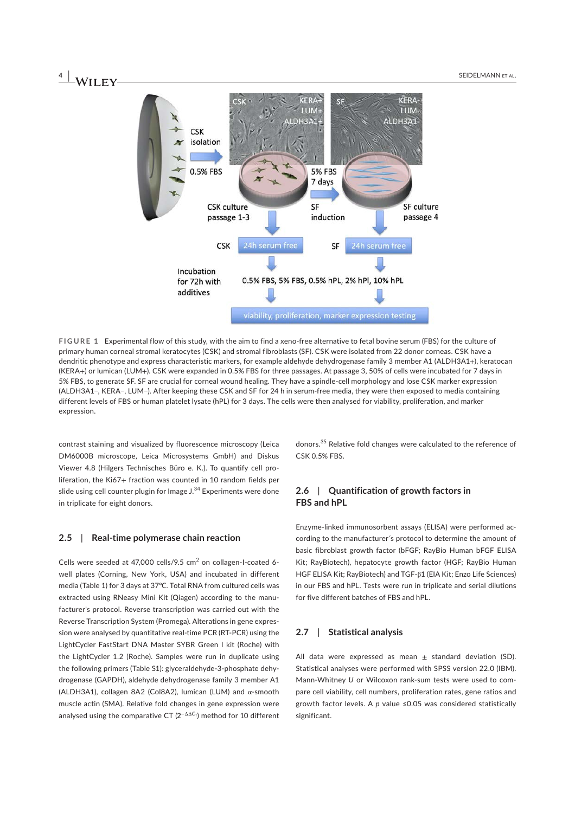

**FIGURE 1** Experimental flow of this study, with the aim to find a xeno-free alternative to fetal bovine serum (FBS) for the culture of primary human corneal stromal keratocytes (CSK) and stromal fibroblasts (SF). CSK were isolated from 22 donor corneas. CSK have a dendritic phenotype and express characteristic markers, for example aldehyde dehydrogenase family 3 member A1 (ALDH3A1+), keratocan (KERA+) or lumican (LUM+). CSK were expanded in 0.5% FBS for three passages. At passage 3, 50% of cells were incubated for 7 days in 5% FBS, to generate SF. SF are crucial for corneal wound healing. They have a spindle-cell morphology and lose CSK marker expression (ALDH3A1−, KERA−, LUM−). After keeping these CSK and SF for 24 h in serum-free media, they were then exposed to media containing different levels of FBS or human platelet lysate (hPL) for 3 days. The cells were then analysed for viability, proliferation, and marker expression.

contrast staining and visualized by fluorescence microscopy (Leica DM6000B microscope, Leica Microsystems GmbH) and Diskus Viewer 4.8 (Hilgers Technisches Büro e. K.). To quantify cell proliferation, the Ki67+ fraction was counted in 10 random fields per slide using cell counter plugin for Image J.<sup>34</sup> Experiments were done in triplicate for eight donors.

#### **2.5**  | **Real-time polymerase chain reaction**

Cells were seeded at 47,000 cells/9.5  $\text{cm}^2$  on collagen-I-coated 6well plates (Corning, New York, USA) and incubated in different media (Table 1) for 3 days at 37℃. Total RNA from cultured cells was extracted using RNeasy Mini Kit (Qiagen) according to the manufacturer's protocol. Reverse transcription was carried out with the Reverse Transcription System (Promega). Alterations in gene expression were analysed by quantitative real-time PCR (RT-PCR) using the LightCycler FastStart DNA Master SYBR Green I kit (Roche) with the LightCycler 1.2 (Roche). Samples were run in duplicate using the following primers (Table S1): glyceraldehyde-3-phosphate dehydrogenase (GAPDH), aldehyde dehydrogenase family 3 member A1 (ALDH3A1), collagen 8A2 (Col8A2), lumican (LUM) and α-smooth muscle actin (SMA). Relative fold changes in gene expression were analysed using the comparative CT (2<sup>−∆∆C</sup>τ) method for 10 different donors.<sup>35</sup> Relative fold changes were calculated to the reference of CSK 0.5% FBS.

# **2.6**  | **Quantification of growth factors in FBS and hPL**

Enzyme-linked immunosorbent assays (ELISA) were performed according to the manufacturer´s protocol to determine the amount of basic fibroblast growth factor (bFGF; RayBio Human bFGF ELISA Kit; RayBiotech), hepatocyte growth factor (HGF; RayBio Human HGF ELISA Kit; RayBiotech) and TGF-β1 (EIA Kit; Enzo Life Sciences) in our FBS and hPL. Tests were run in triplicate and serial dilutions for five different batches of FBS and hPL.

# **2.7**  | **Statistical analysis**

All data were expressed as mean  $\pm$  standard deviation (SD). Statistical analyses were performed with SPSS version 22.0 (IBM). Mann-Whitney *U* or Wilcoxon rank-sum tests were used to compare cell viability, cell numbers, proliferation rates, gene ratios and growth factor levels. A *p* value ≤0.05 was considered statistically significant.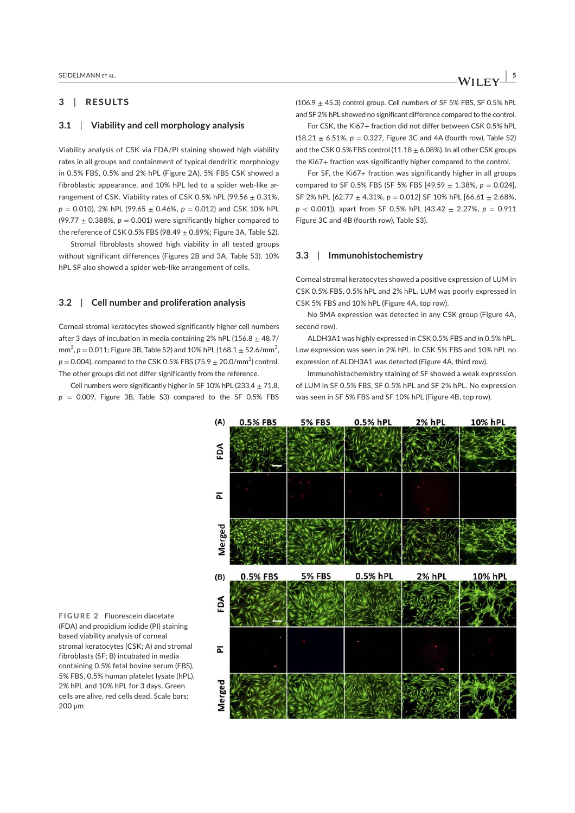# **3**  | **RESULTS**

# **3.1**  | **Viability and cell morphology analysis**

Viability analysis of CSK via FDA/PI staining showed high viability rates in all groups and containment of typical dendritic morphology in 0.5% FBS, 0.5% and 2% hPL (Figure 2A). 5% FBS CSK showed a fibroblastic appearance, and 10% hPL led to a spider web-like arrangement of CSK. Viability rates of CSK 0.5% hPL (99.56  $\pm$  0.31%,  $p = 0.010$ , 2% hPL (99.65  $\pm$  0.46%,  $p = 0.012$ ) and CSK 10% hPL (99.77  $\pm$  0.388%,  $p = 0.001$ ) were significantly higher compared to the reference of CSK 0.5% FBS (98.49  $\pm$  0.89%; Figure 3A, Table S2).

Stromal fibroblasts showed high viability in all tested groups without significant differences (Figures 2B and 3A, Table S3). 10% hPL SF also showed a spider web-like arrangement of cells.

### **3.2**  | **Cell number and proliferation analysis**

Corneal stromal keratocytes showed significantly higher cell numbers after 3 days of incubation in media containing 2% hPL (156.8  $\pm$  48.7/ mm<sup>2</sup>,  $p = 0.011$ ; Figure 3B, Table S2) and 10% hPL (168.1  $\pm$  52.6/mm<sup>2</sup>,  $p = 0.004$ ), compared to the CSK 0.5% FBS (75.9  $\pm$  20.0/mm<sup>2</sup>) control. The other groups did not differ significantly from the reference.

Cell numbers were significantly higher in SF 10% hPL (233.4  $\pm$  71.8,  $p = 0.009$ , Figure 3B, Table S3) compared to the SF 0.5% FBS  $(106.9 + 45.3)$  control group. Cell numbers of SF 5% FBS, SF 0.5% hPL and SF 2% hPL showed no significant difference compared to the control.

For CSK, the Ki67+ fraction did not differ between CSK 0.5% hPL  $(18.21 \pm 6.51\%, p = 0.327,$  Figure 3C and 4A (fourth row), Table S2) and the CSK 0.5% FBS control (11.18  $\pm$  6.08%). In all other CSK groups the Ki67+ fraction was significantly higher compared to the control.

For SF, the Ki67+ fraction was significantly higher in all groups compared to SF 0.5% FBS (SF 5% FBS  $[49.59 \pm 1.38$ %,  $p = 0.024$ ], SF 2% hPL [62.77 ± 4.31%, *p* = 0.012] SF 10% hPL [66.61 ± 2.68%, *p* < 0.001]), apart from SF 0.5% hPL (43.42 ± 2.27%, *p* = 0.911 Figure 3C and 4B (fourth row), Table S3).

#### **3.3**  | **Immunohistochemistry**

Corneal stromal keratocytes showed a positive expression of LUM in CSK 0.5% FBS, 0.5% hPL and 2% hPL. LUM was poorly expressed in CSK 5% FBS and 10% hPL (Figure 4A, top row).

No SMA expression was detected in any CSK group (Figure 4A, second row).

ALDH3A1 was highly expressed in CSK 0.5% FBS and in 0.5% hPL. Low expression was seen in 2% hPL. In CSK 5% FBS and 10% hPL no expression of ALDH3A1 was detected (Figure 4A, third row).

Immunohistochemistry staining of SF showed a weak expression of LUM in SF 0.5% FBS, SF 0.5% hPL and SF 2% hPL. No expression was seen in SF 5% FBS and SF 10% hPL (Figure 4B, top row).



**FIGURE 2** Fluorescein diacetate (FDA) and propidium iodide (PI) staining based viability analysis of corneal stromal keratocytes (CSK; A) and stromal fibroblasts (SF; B) incubated in media containing 0.5% fetal bovine serum (FBS), 5% FBS, 0.5% human platelet lysate (hPL), 2% hPL and 10% hPL for 3 days. Green cells are alive, red cells dead. Scale bars: 200 μm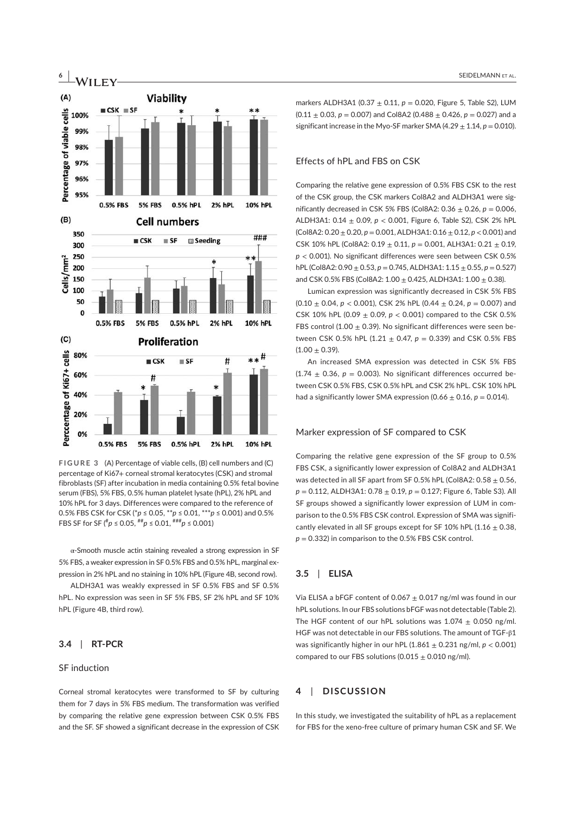

**FIGURE 3** (A) Percentage of viable cells, (B) cell numbers and (C) percentage of Ki67+ corneal stromal keratocytes (CSK) and stromal fibroblasts (SF) after incubation in media containing 0.5% fetal bovine serum (FBS), 5% FBS, 0.5% human platelet lysate (hPL), 2% hPL and 10% hPL for 3 days. Differences were compared to the reference of 0.5% FBS CSK for CSK (\**p* ≤ 0.05, \*\**p* ≤ 0.01, \*\*\**p* ≤ 0.001) and 0.5% FBS SF for SF (# *p* ≤ 0.05, ##*p* ≤ 0.01, ###*p* ≤ 0.001)

α-Smooth muscle actin staining revealed a strong expression in SF 5% FBS, a weaker expression in SF 0.5% FBS and 0.5% hPL, marginal expression in 2% hPL and no staining in 10% hPL (Figure 4B, second row).

ALDH3A1 was weakly expressed in SF 0.5% FBS and SF 0.5% hPL. No expression was seen in SF 5% FBS, SF 2% hPL and SF 10% hPL (Figure 4B, third row).

# **3.4**  | **RT-PCR**

#### SF induction

Corneal stromal keratocytes were transformed to SF by culturing them for 7 days in 5% FBS medium. The transformation was verified by comparing the relative gene expression between CSK 0.5% FBS and the SF. SF showed a significant decrease in the expression of CSK markers ALDH3A1 (0.37 ± 0.11, *p* = 0.020, Figure 5, Table S2), LUM  $(0.11 \pm 0.03, p = 0.007)$  and Col8A2  $(0.488 \pm 0.426, p = 0.027)$  and a significant increase in the Myo-SF marker SMA  $(4.29 \pm 1.14, p = 0.010)$ .

# Effects of hPL and FBS on CSK

Comparing the relative gene expression of 0.5% FBS CSK to the rest of the CSK group, the CSK markers Col8A2 and ALDH3A1 were significantly decreased in CSK 5% FBS (Col8A2: 0.36 ± 0.26, *p* = 0.006, ALDH3A1: 0.14 ± 0.09, *p* < 0.001, Figure 6, Table S2), CSK 2% hPL (Col8A2: 0.20 ± 0.20, *p* = 0.001, ALDH3A1: 0.16 ± 0.12, *p* < 0.001) and CSK 10% hPL (Col8A2: 0.19 ± 0.11, *p* = 0.001, ALH3A1: 0.21 ± 0.19, *p* < 0.001). No significant differences were seen between CSK 0.5% hPL (Col8A2: 0.90 ± 0.53, *p* = 0.745, ALDH3A1: 1.15 ± 0.55, *p* = 0.527) and CSK 0.5% FBS (Col8A2:  $1.00 \pm 0.425$ , ALDH3A1:  $1.00 \pm 0.38$ ).

Lumican expression was significantly decreased in CSK 5% FBS  $(0.10 + 0.04, p < 0.001)$ , CSK 2% hPL  $(0.44 + 0.24, p = 0.007)$  and CSK 10% hPL (0.09 ± 0.09, *p* < 0.001) compared to the CSK 0.5% FBS control (1.00  $\pm$  0.39). No significant differences were seen between CSK 0.5% hPL  $(1.21 \pm 0.47, p = 0.339)$  and CSK 0.5% FBS  $(1.00 \pm 0.39)$ .

An increased SMA expression was detected in CSK 5% FBS (1.74  $\pm$  0.36,  $p = 0.003$ ). No significant differences occurred between CSK 0.5% FBS, CSK 0.5% hPL and CSK 2% hPL. CSK 10% hPL had a significantly lower SMA expression  $(0.66 \pm 0.16, p = 0.014)$ .

#### Marker expression of SF compared to CSK

Comparing the relative gene expression of the SF group to 0.5% FBS CSK, a significantly lower expression of Col8A2 and ALDH3A1 was detected in all SF apart from SF 0.5% hPL (Col8A2:  $0.58 \pm 0.56$ , *p* = 0.112, ALDH3A1: 0.78 ± 0.19, *p* = 0.127; Figure 6, Table S3). All SF groups showed a significantly lower expression of LUM in comparison to the 0.5% FBS CSK control. Expression of SMA was significantly elevated in all SF groups except for SF 10% hPL (1.16  $\pm$  0.38,  $p = 0.332$ ) in comparison to the 0.5% FBS CSK control.

### **3.5**  | **ELISA**

Via ELISA a bFGF content of 0.067  $\pm$  0.017 ng/ml was found in our hPL solutions. In our FBS solutions bFGF was not detectable (Table 2). The HGF content of our hPL solutions was  $1.074 \pm 0.050$  ng/ml. HGF was not detectable in our FBS solutions. The amount of TGF-β1 was significantly higher in our hPL  $(1.861 \pm 0.231 \text{ ng/ml}, p < 0.001)$ compared to our FBS solutions (0.015  $\pm$  0.010 ng/ml).

# **4**  | **DISCUSSION**

In this study, we investigated the suitability of hPL as a replacement for FBS for the xeno-free culture of primary human CSK and SF. We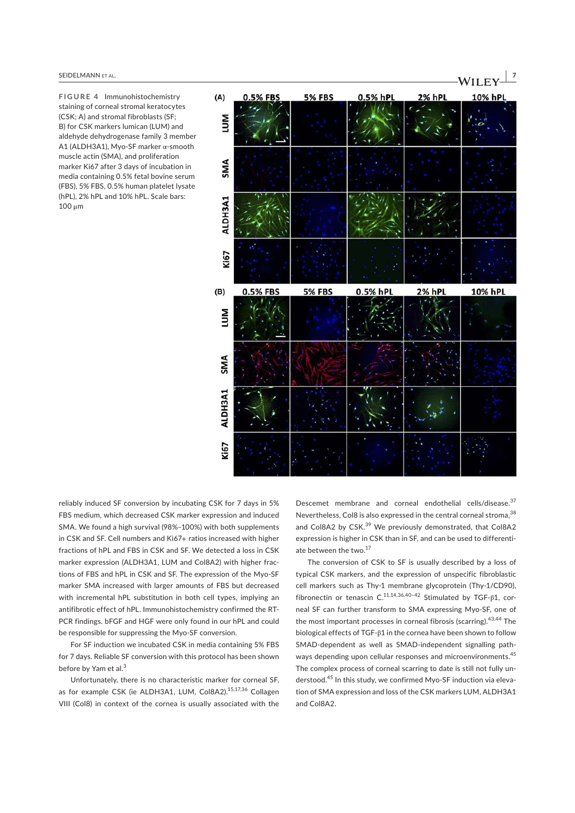**FIGURE 4** Immunohistochemistry staining of corneal stromal keratocytes (CSK; A) and stromal fibroblasts (SF; B) for CSK markers lumican (LUM) and aldehyde dehydrogenase family 3 member A1 (ALDH3A1), Myo-SF marker α-smooth muscle actin (SMA), and proliferation marker Ki67 after 3 days of incubation in media containing 0.5% fetal bovine serum (FBS), 5% FBS, 0.5% human platelet lysate (hPL), 2% hPL and 10% hPL. Scale bars: 100 μm



reliably induced SF conversion by incubating CSK for 7 days in 5% FBS medium, which decreased CSK marker expression and induced SMA. We found a high survival (98%–100%) with both supplements in CSK and SF. Cell numbers and Ki67+ ratios increased with higher fractions of hPL and FBS in CSK and SF. We detected a loss in CSK marker expression (ALDH3A1, LUM and Col8A2) with higher fractions of FBS and hPL in CSK and SF. The expression of the Myo-SF marker SMA increased with larger amounts of FBS but decreased with incremental hPL substitution in both cell types, implying an antifibrotic effect of hPL. Immunohistochemistry confirmed the RT-PCR findings. bFGF and HGF were only found in our hPL and could be responsible for suppressing the Myo-SF conversion.

For SF induction we incubated CSK in media containing 5% FBS for 7 days. Reliable SF conversion with this protocol has been shown before by Yam et al.<sup>3</sup>

Unfortunately, there is no characteristic marker for corneal SF, as for example CSK (ie ALDH3A1, LUM, Col8A2).<sup>15,17,36</sup> Collagen VIII (Col8) in context of the cornea is usually associated with the Descemet membrane and corneal endothelial cells/disease.<sup>37</sup> Nevertheless, Col8 is also expressed in the central corneal stroma.<sup>38</sup> and Col8A2 by CSK.<sup>39</sup> We previously demonstrated, that Col8A2 expression is higher in CSK than in SF, and can be used to differentiate between the two.<sup>17</sup>

The conversion of CSK to SF is usually described by a loss of typical CSK markers, and the expression of unspecific fibroblastic cell markers such as Thy-1 membrane glycoprotein (Thy-1/CD90), fibronectin or tenascin  $C^{11,14,36,40-42}$  Stimulated by TGF- $\beta$ 1, corneal SF can further transform to SMA expressing Myo-SF, one of the most important processes in corneal fibrosis (scarring).43,44 The biological effects of TGF-β1 in the cornea have been shown to follow SMAD-dependent as well as SMAD-independent signalling pathways depending upon cellular responses and microenvironments.<sup>45</sup> The complex process of corneal scarring to date is still not fully understood.<sup>45</sup> In this study, we confirmed Myo-SF induction via elevation of SMA expression and loss of the CSK markers LUM, ALDH3A1 and Col8A2.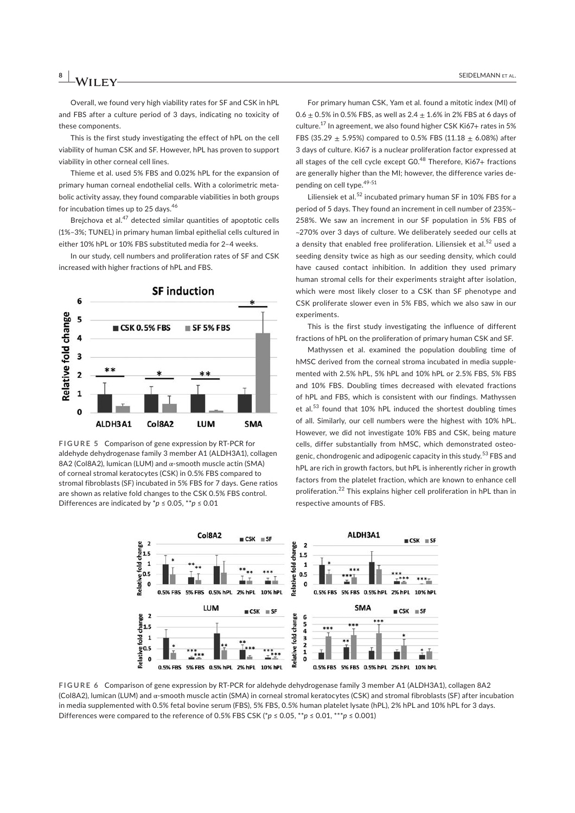Overall, we found very high viability rates for SF and CSK in hPL and FBS after a culture period of 3 days, indicating no toxicity of these components.

This is the first study investigating the effect of hPL on the cell viability of human CSK and SF. However, hPL has proven to support viability in other corneal cell lines.

Thieme et al. used 5% FBS and 0.02% hPL for the expansion of primary human corneal endothelial cells. With a colorimetric metabolic activity assay, they found comparable viabilities in both groups for incubation times up to 25 days.<sup>46</sup>

Brejchova et al.<sup>47</sup> detected similar quantities of apoptotic cells (1%–3%; TUNEL) in primary human limbal epithelial cells cultured in either 10% hPL or 10% FBS substituted media for 2–4 weeks.

In our study, cell numbers and proliferation rates of SF and CSK increased with higher fractions of hPL and FBS.



**FIGURE 5** Comparison of gene expression by RT-PCR for aldehyde dehydrogenase family 3 member A1 (ALDH3A1), collagen 8A2 (Col8A2), lumican (LUM) and α-smooth muscle actin (SMA) of corneal stromal keratocytes (CSK) in 0.5% FBS compared to stromal fibroblasts (SF) incubated in 5% FBS for 7 days. Gene ratios are shown as relative fold changes to the CSK 0.5% FBS control. Differences are indicated by \**p* ≤ 0.05, \*\**p* ≤ 0.01

For primary human CSK, Yam et al. found a mitotic index (MI) of 0.6  $\pm$  0.5% in 0.5% FBS, as well as 2.4  $\pm$  1.6% in 2% FBS at 6 days of culture.<sup>17</sup> In agreement, we also found higher CSK Ki67+ rates in 5% FBS (35.29  $\pm$  5.95%) compared to 0.5% FBS (11.18  $\pm$  6.08%) after 3 days of culture. Ki67 is a nuclear proliferation factor expressed at all stages of the cell cycle except G0.<sup>48</sup> Therefore, Ki67+ fractions are generally higher than the MI; however, the difference varies depending on cell type.<sup>49-51</sup>

Liliensiek et al. $^{52}$  incubated primary human SF in 10% FBS for a period of 5 days. They found an increment in cell number of 235%– 258%. We saw an increment in our SF population in 5% FBS of ~270% over 3 days of culture. We deliberately seeded our cells at a density that enabled free proliferation. Liliensiek et al.<sup>52</sup> used a seeding density twice as high as our seeding density, which could have caused contact inhibition. In addition they used primary human stromal cells for their experiments straight after isolation, which were most likely closer to a CSK than SF phenotype and CSK proliferate slower even in 5% FBS, which we also saw in our experiments.

This is the first study investigating the influence of different fractions of hPL on the proliferation of primary human CSK and SF.

Mathyssen et al. examined the population doubling time of hMSC derived from the corneal stroma incubated in media supplemented with 2.5% hPL, 5% hPL and 10% hPL or 2.5% FBS, 5% FBS and 10% FBS. Doubling times decreased with elevated fractions of hPL and FBS, which is consistent with our findings. Mathyssen et al.<sup>53</sup> found that 10% hPL induced the shortest doubling times of all. Similarly, our cell numbers were the highest with 10% hPL. However, we did not investigate 10% FBS and CSK, being mature cells, differ substantially from hMSC, which demonstrated osteogenic, chondrogenic and adipogenic capacity in this study.<sup>53</sup> FBS and hPL are rich in growth factors, but hPL is inherently richer in growth factors from the platelet fraction, which are known to enhance cell proliferation.<sup>22</sup> This explains higher cell proliferation in hPL than in respective amounts of FBS.



**FIGURE 6** Comparison of gene expression by RT-PCR for aldehyde dehydrogenase family 3 member A1 (ALDH3A1), collagen 8A2 (Col8A2), lumican (LUM) and α-smooth muscle actin (SMA) in corneal stromal keratocytes (CSK) and stromal fibroblasts (SF) after incubation in media supplemented with 0.5% fetal bovine serum (FBS), 5% FBS, 0.5% human platelet lysate (hPL), 2% hPL and 10% hPL for 3 days. Differences were compared to the reference of 0.5% FBS CSK ( $\phi$  ≤ 0.05, \*\* $p \le 0.01$ , \*\*\* $p \le 0.001$ )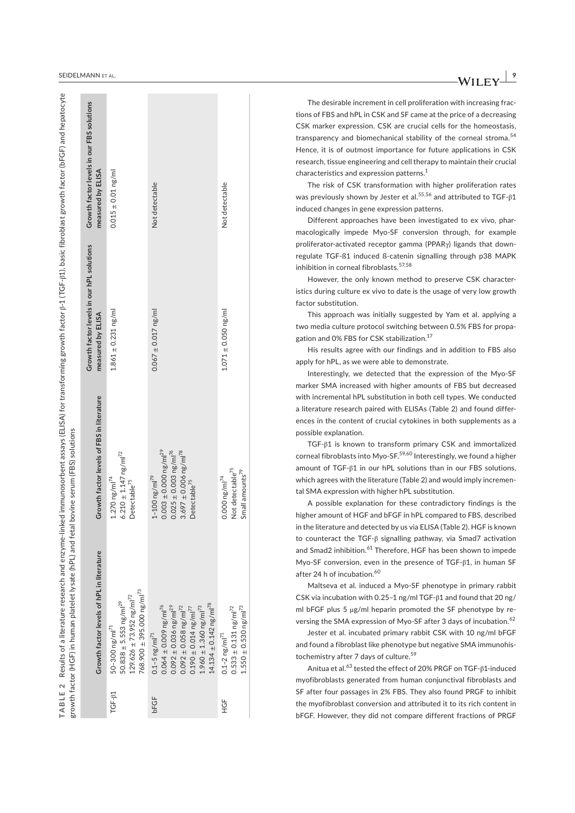| <b>SEIDE</b><br>ANN<br>AL | - 79  |
|---------------------------|-------|
|                           | $  -$ |

|         |                                                                                                                                                                                                                                                                                |                                                                                                                                                                                | Growth factor levels in our hPL solutions | Growth factor levels in our FBS solutions |
|---------|--------------------------------------------------------------------------------------------------------------------------------------------------------------------------------------------------------------------------------------------------------------------------------|--------------------------------------------------------------------------------------------------------------------------------------------------------------------------------|-------------------------------------------|-------------------------------------------|
|         | Growth factor levels of hPL in literature                                                                                                                                                                                                                                      | Growth factor levels of FBS in literature                                                                                                                                      | measured by ELISA                         | measured by ELISA                         |
| TGF-81  | $768.900 \pm 395.000$ ng/ml <sup>73</sup><br>$129.626 \pm 73.952$ ng/ml <sup>72</sup><br>$50.838 \pm 5.553$ ng/ml <sup>29</sup><br>$50 - 300$ ng/ml <sup>71</sup>                                                                                                              | $6.210 \pm 1.147$ ng/ml <sup>72</sup><br>$1.270$ ng/ml <sup>74</sup><br>Detectable <sup>75</sup>                                                                               | $1.861 \pm 0.231$ ng/ml                   | $0.015 \pm 0.01$ ng/ml                    |
| bFGF    | $14.134 \pm 0.142$ ng/ml <sup>78</sup><br>$0.064 \pm 0.009$ ng/ml <sup>76</sup><br>$0.092 \pm 0.036$ ng/ml <sup>29</sup><br>$0.092 \pm 0.058$ ng/ml <sup>72</sup><br>$1.960 \pm 1.360$ ng/ml <sup>73</sup><br>$0.190 \pm 0.014$ ng/ml <sup>77</sup><br>$0.1 - 5$ ng/m $1^{71}$ | $0.025 \pm 0.003$ ng/ml <sup>76</sup><br>$0.003 \pm 0.000$ ng/ml <sup>29</sup><br>$3.697 \pm 0.006$ ng/ml <sup>78</sup><br>$1 - 100$ ng/m $1^{79}$<br>Detectable <sup>75</sup> | $0.067 \pm 0.017$ ng/ml                   | Not detectable                            |
| SH<br>H | $1.550 \pm 0.530$ ng/ml <sup>73</sup><br>$0.533 \pm 0.131$ ng/ml <sup>72</sup><br>$0.1 - 2 \text{ ng/m}$ <sup>71</sup>                                                                                                                                                         | Not detectable <sup>75</sup><br>Small amounts <sup>79</sup><br>$0.000$ ng/ml <sup>74</sup>                                                                                     | $1.071 \pm 0.050$ ng/ml                   | Not detectable                            |
|         |                                                                                                                                                                                                                                                                                |                                                                                                                                                                                |                                           |                                           |

The desirable increment in cell proliferation with increasing fractions of FBS and hPL in CSK and SF came at the price of a decreasing CSK marker expression. CSK are crucial cells for the homeostasis, transparency and biomechanical stability of the corneal stroma.<sup>54</sup> Hence, it is of outmost importance for future applications in CSK research, tissue engineering and cell therapy to maintain their crucial characteristics and expression patterns.<sup>1</sup>

The risk of CSK transformation with higher proliferation rates was previously shown by Jester et al.<sup>55,56</sup> and attributed to TGF- $\beta$ 1 induced changes in gene expression patterns.

Different approaches have been investigated to ex vivo, pharmacologically impede Myo-SF conversion through, for example proliferator-activated receptor gamma (PPARγ) ligands that downregulate TGF-ß1 induced ß-catenin signalling through p38 MAPK inhibition in corneal fibroblasts.57,58

However, the only known method to preserve CSK characteristics during culture ex vivo to date is the usage of very low growth factor substitution.

This approach was initially suggested by Yam et al. applying a two media culture protocol switching between 0.5% FBS for propagation and 0% FBS for CSK stabilization.<sup>17</sup>

His results agree with our findings and in addition to FBS also apply for hPL, as we were able to demonstrate.

Interestingly, we detected that the expression of the Myo-SF marker SMA increased with higher amounts of FBS but decreased with incremental hPL substitution in both cell types. We conducted a literature research paired with ELISAs (Table 2) and found differences in the content of crucial cytokines in both supplements as a possible explanation.

TGF-β1 is known to transform primary CSK and immortalized corneal fibroblasts into Myo-SF.<sup>59,60</sup> Interestingly, we found a higher amount of TGF-β1 in our hPL solutions than in our FBS solutions, which agrees with the literature (Table 2) and would imply incremental SMA expression with higher hPL substitution.

A possible explanation for these contradictory findings is the higher amount of HGF and bFGF in hPL compared to FBS, described in the literature and detected by us via ELISA (Table 2). HGF is known to counteract the TGF-β signalling pathway, via Smad7 activation and Smad2 inhibition.<sup>61</sup> Therefore, HGF has been shown to impede Myo-SF conversion, even in the presence of TGF-β1, in human SF after 24 h of incubation. $^{60}$ 

Maltseva et al. induced a Myo-SF phenotype in primary rabbit CSK via incubation with 0.25–1 ng/ml TGF-β1 and found that 20 ng/ ml bFGF plus 5 µg/ml heparin promoted the SF phenotype by reversing the SMA expression of Myo-SF after 3 days of incubation.<sup>62</sup>

Jester et al. incubated primary rabbit CSK with 10 ng/ml bFGF and found a fibroblast like phenotype but negative SMA immunohistochemistry after 7 days of culture.<sup>59</sup>

Anitua et al.<sup>63</sup> tested the effect of 20% PRGF on TGF-β1-induced myofibroblasts generated from human conjunctival fibroblasts and SF after four passages in 2% FBS. They also found PRGF to inhibit the myofibroblast conversion and attributed it to its rich content in bFGF. However, they did not compare different fractions of PRGF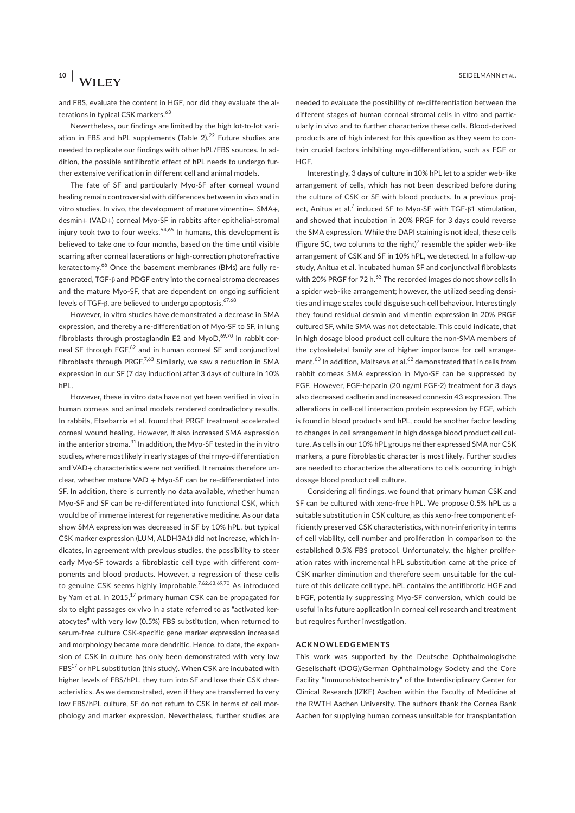# **10 A**/**II EV SEIDELMANN ET AL.**

and FBS, evaluate the content in HGF, nor did they evaluate the alterations in typical CSK markers.<sup>63</sup>

Nevertheless, our findings are limited by the high lot-to-lot variation in FBS and hPL supplements (Table  $2$ ).<sup>22</sup> Future studies are needed to replicate our findings with other hPL/FBS sources. In addition, the possible antifibrotic effect of hPL needs to undergo further extensive verification in different cell and animal models.

The fate of SF and particularly Myo-SF after corneal wound healing remain controversial with differences between in vivo and in vitro studies. In vivo, the development of mature vimentin+, SMA+, desmin+ (VAD+) corneal Myo-SF in rabbits after epithelial-stromal injury took two to four weeks. $64,65$  In humans, this development is believed to take one to four months, based on the time until visible scarring after corneal lacerations or high-correction photorefractive keratectomy.<sup>66</sup> Once the basement membranes (BMs) are fully regenerated, TGF-β and PDGF entry into the corneal stroma decreases and the mature Myo-SF, that are dependent on ongoing sufficient levels of TGF- $\beta$ , are believed to undergo apoptosis.<sup>67,68</sup>

However, in vitro studies have demonstrated a decrease in SMA expression, and thereby a re-differentiation of Myo-SF to SF, in lung fibroblasts through prostaglandin E2 and  $MyoD,$ <sup>69,70</sup> in rabbit corneal SF through FGF,<sup>62</sup> and in human corneal SF and conjunctival fibroblasts through PRGF.<sup>7,63</sup> Similarly, we saw a reduction in SMA expression in our SF (7 day induction) after 3 days of culture in 10% hPL.

However, these in vitro data have not yet been verified in vivo in human corneas and animal models rendered contradictory results. In rabbits, Etxebarria et al. found that PRGF treatment accelerated corneal wound healing. However, it also increased SMA expression in the anterior stroma. $31$  In addition, the Myo-SF tested in the in vitro studies, where most likely in early stages of their myo-differentiation and VAD+ characteristics were not verified. It remains therefore unclear, whether mature VAD + Myo-SF can be re-differentiated into SF. In addition, there is currently no data available, whether human Myo-SF and SF can be re-differentiated into functional CSK, which would be of immense interest for regenerative medicine. As our data show SMA expression was decreased in SF by 10% hPL, but typical CSK marker expression (LUM, ALDH3A1) did not increase, which indicates, in agreement with previous studies, the possibility to steer early Myo-SF towards a fibroblastic cell type with different components and blood products. However, a regression of these cells to genuine CSK seems highly improbable.<sup>7,62,63,69,70</sup> As introduced by Yam et al. in 2015,<sup>17</sup> primary human CSK can be propagated for six to eight passages ex vivo in a state referred to as "activated keratocytes" with very low (0.5%) FBS substitution, when returned to serum-free culture CSK-specific gene marker expression increased and morphology became more dendritic. Hence, to date, the expansion of CSK in culture has only been demonstrated with very low FBS<sup>17</sup> or hPL substitution (this study). When CSK are incubated with higher levels of FBS/hPL, they turn into SF and lose their CSK characteristics. As we demonstrated, even if they are transferred to very low FBS/hPL culture, SF do not return to CSK in terms of cell morphology and marker expression. Nevertheless, further studies are needed to evaluate the possibility of re-differentiation between the different stages of human corneal stromal cells in vitro and particularly in vivo and to further characterize these cells. Blood-derived products are of high interest for this question as they seem to contain crucial factors inhibiting myo-differentiation, such as FGF or HGF.

Interestingly, 3 days of culture in 10% hPL let to a spider web-like arrangement of cells, which has not been described before during the culture of CSK or SF with blood products. In a previous project, Anitua et al.<sup>7</sup> induced SF to Myo-SF with TGF- $\beta$ 1 stimulation, and showed that incubation in 20% PRGF for 3 days could reverse the SMA expression. While the DAPI staining is not ideal, these cells (Figure 5C, two columns to the right) $^7$  resemble the spider web-like arrangement of CSK and SF in 10% hPL, we detected. In a follow-up study, Anitua et al. incubated human SF and conjunctival fibroblasts with 20% PRGF for 72 h.<sup>63</sup> The recorded images do not show cells in a spider web-like arrangement; however, the utilized seeding densities and image scales could disguise such cell behaviour. Interestingly they found residual desmin and vimentin expression in 20% PRGF cultured SF, while SMA was not detectable. This could indicate, that in high dosage blood product cell culture the non-SMA members of the cytoskeletal family are of higher importance for cell arrangement.<sup>63</sup> In addition, Maltseva et al.<sup>62</sup> demonstrated that in cells from rabbit corneas SMA expression in Myo-SF can be suppressed by FGF. However, FGF-heparin (20 ng/ml FGF-2) treatment for 3 days also decreased cadherin and increased connexin 43 expression. The alterations in cell-cell interaction protein expression by FGF, which is found in blood products and hPL, could be another factor leading to changes in cell arrangement in high dosage blood product cell culture. As cells in our 10% hPL groups neither expressed SMA nor CSK markers, a pure fibroblastic character is most likely. Further studies are needed to characterize the alterations to cells occurring in high dosage blood product cell culture.

Considering all findings, we found that primary human CSK and SF can be cultured with xeno-free hPL. We propose 0.5% hPL as a suitable substitution in CSK culture, as this xeno-free component efficiently preserved CSK characteristics, with non-inferiority in terms of cell viability, cell number and proliferation in comparison to the established 0.5% FBS protocol. Unfortunately, the higher proliferation rates with incremental hPL substitution came at the price of CSK marker diminution and therefore seem unsuitable for the culture of this delicate cell type. hPL contains the antifibrotic HGF and bFGF, potentially suppressing Myo-SF conversion, which could be useful in its future application in corneal cell research and treatment but requires further investigation.

#### **ACKNOWLEDGEMENTS**

This work was supported by the Deutsche Ophthalmologische Gesellschaft (DOG)/German Ophthalmology Society and the Core Facility "Immunohistochemistry" of the Interdisciplinary Center for Clinical Research (IZKF) Aachen within the Faculty of Medicine at the RWTH Aachen University. The authors thank the Cornea Bank Aachen for supplying human corneas unsuitable for transplantation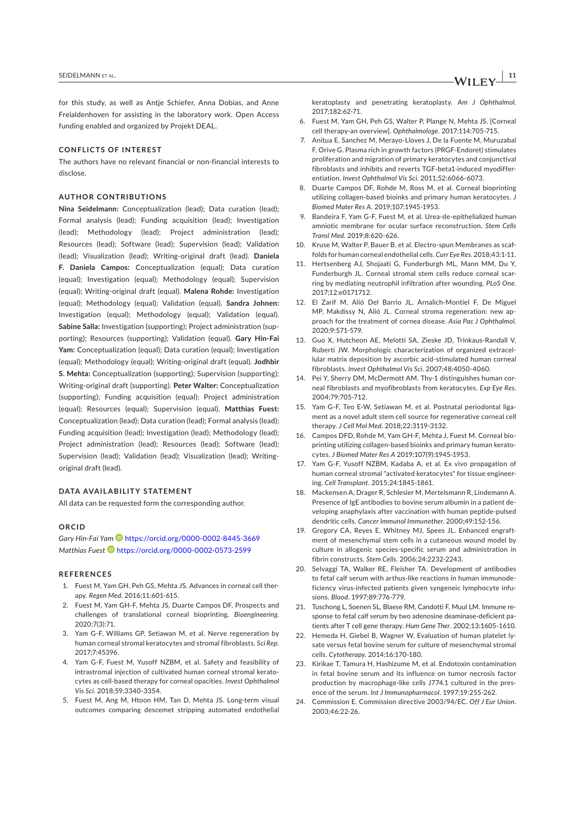for this study, as well as Antie Schiefer, Anna Dobias, and Anne Freialdenhoven for assisting in the laboratory work. Open Access funding enabled and organized by Projekt DEAL.

#### **CONFLICTS OF INTEREST**

The authors have no relevant financial or non-financial interests to disclose.

#### **AUTHOR CONTRIBUTIONS**

**Nina Seidelmann:** Conceptualization (lead); Data curation (lead); Formal analysis (lead); Funding acquisition (lead); Investigation (lead); Methodology (lead); Project administration (lead); Resources (lead); Software (lead); Supervision (lead); Validation (lead); Visualization (lead); Writing-original draft (lead). **Daniela F. Daniela Campos:** Conceptualization (equal); Data curation (equal); Investigation (equal); Methodology (equal); Supervision (equal); Writing-original draft (equal). **Malena Rohde:** Investigation (equal); Methodology (equal); Validation (equal). **Sandra Johnen:** Investigation (equal); Methodology (equal); Validation (equal). **Sabine Salla:** Investigation (supporting); Project administration (supporting); Resources (supporting); Validation (equal). **Gary Hin-Fai Yam:** Conceptualization (equal); Data curation (equal); Investigation (equal); Methodology (equal); Writing-original draft (equal). **Jodhbir S. Mehta:** Conceptualization (supporting); Supervision (supporting); Writing-original draft (supporting). **Peter Walter:** Conceptualization (supporting); Funding acquisition (equal); Project administration (equal); Resources (equal); Supervision (equal). **Matthias Fuest:** Conceptualization (lead); Data curation (lead); Formal analysis (lead); Funding acquisition (lead); Investigation (lead); Methodology (lead); Project administration (lead); Resources (lead); Software (lead); Supervision (lead); Validation (lead); Visualization (lead); Writingoriginal draft (lead).

### **DATA AVAILABILITY STATEMENT**

All data can be requested form the corresponding author.

#### **ORCID**

*Gary Hin-Fai Yam* https://orcid.org/0000-0002-8445-3669 *Matthias Fuest* https://orcid.org/0000-0002-0573-2599

# **REFERENCES**

- 1. Fuest M, Yam GH, Peh GS, Mehta JS. Advances in corneal cell therapy. *Regen Med*. 2016;11:601-615.
- 2. Fuest M, Yam GH-F, Mehta JS, Duarte Campos DF. Prospects and challenges of translational corneal bioprinting. *Bioengineering*. 2020;7(3):71.
- Yam G-F, Williams GP, Setiawan M, et al. Nerve regeneration by human corneal stromal keratocytes and stromal fibroblasts. *Sci Rep*. 2017;7:45396.
- 4. Yam G-F, Fuest M, Yusoff NZBM, et al. Safety and feasibility of intrastromal injection of cultivated human corneal stromal keratocytes as cell-based therapy for corneal opacities. *Invest Ophthalmol Vis Sci*. 2018;59:3340-3354.
- 5. Fuest M, Ang M, Htoon HM, Tan D, Mehta JS. Long-term visual outcomes comparing descemet stripping automated endothelial

keratoplasty and penetrating keratoplasty. *Am J Ophthalmol*. 2017;182:62-71.

- 6. Fuest M, Yam GH, Peh GS, Walter P, Plange N, Mehta JS. [Corneal cell therapy-an overview]. *Ophthalmologe*. 2017;114:705-715.
- 7. Anitua E, Sanchez M, Merayo-Lloves J, De la Fuente M, Muruzabal F, Orive G. Plasma rich in growth factors (PRGF-Endoret) stimulates proliferation and migration of primary keratocytes and conjunctival fibroblasts and inhibits and reverts TGF-beta1-induced myodifferentiation. *Invest Ophthalmol Vis Sci*. 2011;52:6066-6073.
- 8. Duarte Campos DF, Rohde M, Ross M, et al. Corneal bioprinting utilizing collagen-based bioinks and primary human keratocytes. *J Biomed Mater Res A*. 2019;107:1945-1953.
- 9. Bandeira F, Yam G-F, Fuest M, et al. Urea-de-epithelialized human amniotic membrane for ocular surface reconstruction. *Stem Cells Transl Med*. 2019;8:620-626.
- 10. Kruse M, Walter P, Bauer B, et al. Electro-spun Membranes as scaffolds for human corneal endothelial cells. *Curr Eye Res*. 2018;43:1-11.
- 11. Hertsenberg AJ, Shojaati G, Funderburgh ML, Mann MM, Du Y, Funderburgh JL. Corneal stromal stem cells reduce corneal scarring by mediating neutrophil infiltration after wounding. *PLoS One*. 2017;12:e0171712.
- 12. El Zarif M, Alió Del Barrio JL, Arnalich-Montiel F, De Miguel MP, Makdissy N, Alió JL. Corneal stroma regeneration: new approach for the treatment of cornea disease. *Asia Pac J Ophthalmol*. 2020;9:571-579.
- 13. Guo X, Hutcheon AE, Melotti SA, Zieske JD, Trinkaus-Randall V, Ruberti JW. Morphologic characterization of organized extracellular matrix deposition by ascorbic acid-stimulated human corneal fibroblasts. *Invest Ophthalmol Vis Sci*. 2007;48:4050-4060.
- 14. Pei Y, Sherry DM, McDermott AM. Thy-1 distinguishes human corneal fibroblasts and myofibroblasts from keratocytes. *Exp Eye Res*. 2004;79:705-712.
- 15. Yam G-F, Teo E-W, Setiawan M, et al. Postnatal periodontal ligament as a novel adult stem cell source for regenerative corneal cell therapy. *J Cell Mol Med*. 2018;22:3119-3132.
- 16. Campos DFD, Rohde M, Yam GH-F, Mehta J, Fuest M. Corneal bioprinting utilizing collagen-based bioinks and primary human keratocytes. *J Biomed Mater Res A* 2019;107(9):1945-1953.
- 17. Yam G-F, Yusoff NZBM, Kadaba A, et al. Ex vivo propagation of human corneal stromal "activated keratocytes" for tissue engineering. *Cell Transplant*. 2015;24:1845-1861.
- 18. Mackensen A, Drager R, Schlesier M, Mertelsmann R, Lindemann A. Presence of IgE antibodies to bovine serum albumin in a patient developing anaphylaxis after vaccination with human peptide-pulsed dendritic cells. *Cancer Immunol Immunother*. 2000;49:152-156.
- 19. Gregory CA, Reyes E, Whitney MJ, Spees JL. Enhanced engraftment of mesenchymal stem cells in a cutaneous wound model by culture in allogenic species-specific serum and administration in fibrin constructs. *Stem Cells*. 2006;24:2232-2243.
- 20. Selvaggi TA, Walker RE, Fleisher TA. Development of antibodies to fetal calf serum with arthus-like reactions in human immunodeficiency virus-infected patients given syngeneic lymphocyte infusions. *Blood*. 1997;89:776-779.
- 21. Tuschong L, Soenen SL, Blaese RM, Candotti F, Muul LM. Immune response to fetal calf serum by two adenosine deaminase-deficient patients after T cell gene therapy. *Hum Gene Ther*. 2002;13:1605-1610.
- 22. Hemeda H, Giebel B, Wagner W. Evaluation of human platelet lysate versus fetal bovine serum for culture of mesenchymal stromal cells. *Cytotherapy*. 2014;16:170-180.
- 23. Kirikae T, Tamura H, Hashizume M, et al. Endotoxin contamination in fetal bovine serum and its influence on tumor necrosis factor production by macrophage-like cells J774.1 cultured in the presence of the serum. *Int J Immunopharmacol*. 1997;19:255-262.
- 24. Commission E. Commission directive 2003/94/EC. *Off J Eur Union*. 2003;46:22-26.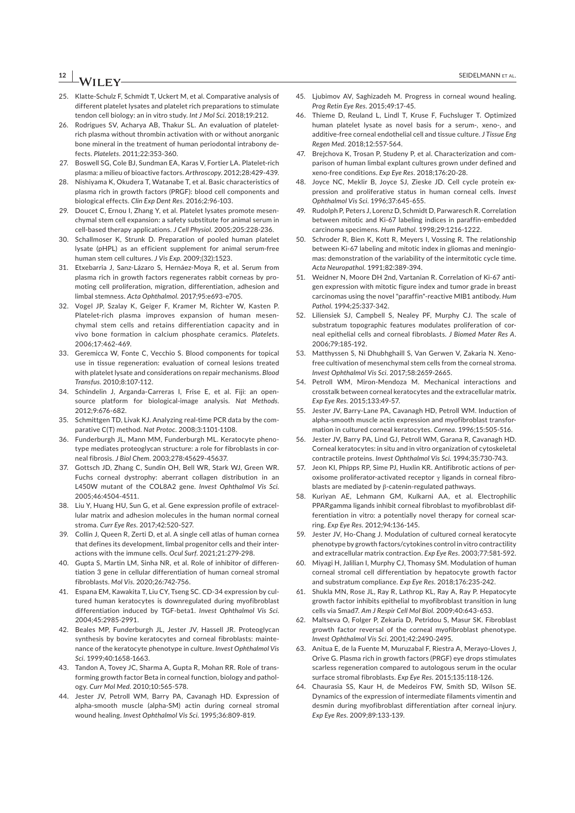# **12 <sup>|</sup>**  SEIDELMANN Et AL.

- 25. Klatte-Schulz F, Schmidt T, Uckert M, et al. Comparative analysis of different platelet lysates and platelet rich preparations to stimulate tendon cell biology: an in vitro study. *Int J Mol Sci*. 2018;19:212.
- 26. Rodrigues SV, Acharya AB, Thakur SL. An evaluation of plateletrich plasma without thrombin activation with or without anorganic bone mineral in the treatment of human periodontal intrabony defects. *Platelets*. 2011;22:353-360.
- 27. Boswell SG, Cole BJ, Sundman EA, Karas V, Fortier LA. Platelet-rich plasma: a milieu of bioactive factors. *Arthroscopy*. 2012;28:429-439.
- 28. Nishiyama K, Okudera T, Watanabe T, et al. Basic characteristics of plasma rich in growth factors (PRGF): blood cell components and biological effects. *Clin Exp Dent Res*. 2016;2:96-103.
- 29. Doucet C, Ernou I, Zhang Y, et al. Platelet lysates promote mesenchymal stem cell expansion: a safety substitute for animal serum in cell-based therapy applications. *J Cell Physiol*. 2005;205:228-236.
- 30. Schallmoser K, Strunk D. Preparation of pooled human platelet lysate (pHPL) as an efficient supplement for animal serum-free human stem cell cultures. *J Vis Exp*. 2009;(32):1523.
- 31. Etxebarria J, Sanz-Lázaro S, Hernáez-Moya R, et al. Serum from plasma rich in growth factors regenerates rabbit corneas by promoting cell proliferation, migration, differentiation, adhesion and limbal stemness. *Acta Ophthalmol*. 2017;95:e693-e705.
- 32. Vogel JP, Szalay K, Geiger F, Kramer M, Richter W, Kasten P. Platelet-rich plasma improves expansion of human mesenchymal stem cells and retains differentiation capacity and in vivo bone formation in calcium phosphate ceramics. *Platelets*. 2006;17:462-469.
- 33. Geremicca W, Fonte C, Vecchio S. Blood components for topical use in tissue regeneration: evaluation of corneal lesions treated with platelet lysate and considerations on repair mechanisms. *Blood Transfus*. 2010;8:107-112.
- 34. Schindelin J, Arganda-Carreras I, Frise E, et al. Fiji: an opensource platform for biological-image analysis. *Nat Methods*. 2012;9:676-682.
- 35. Schmittgen TD, Livak KJ. Analyzing real-time PCR data by the comparative C(T) method. *Nat Protoc*. 2008;3:1101-1108.
- 36. Funderburgh JL, Mann MM, Funderburgh ML. Keratocyte phenotype mediates proteoglycan structure: a role for fibroblasts in corneal fibrosis. *J Biol Chem*. 2003;278:45629-45637.
- 37. Gottsch JD, Zhang C, Sundin OH, Bell WR, Stark WJ, Green WR. Fuchs corneal dystrophy: aberrant collagen distribution in an L450W mutant of the COL8A2 gene. *Invest Ophthalmol Vis Sci*. 2005;46:4504-4511.
- 38. Liu Y, Huang HU, Sun G, et al. Gene expression profile of extracellular matrix and adhesion molecules in the human normal corneal stroma. *Curr Eye Res*. 2017;42:520-527.
- 39. Collin J, Queen R, Zerti D, et al. A single cell atlas of human cornea that defines its development, limbal progenitor cells and their interactions with the immune cells. *Ocul Surf*. 2021;21:279-298.
- 40. Gupta S, Martin LM, Sinha NR, et al. Role of inhibitor of differentiation 3 gene in cellular differentiation of human corneal stromal fibroblasts. *Mol Vis*. 2020;26:742-756.
- 41. Espana EM, Kawakita T, Liu CY, Tseng SC. CD-34 expression by cultured human keratocytes is downregulated during myofibroblast differentiation induced by TGF-beta1. *Invest Ophthalmol Vis Sci*. 2004;45:2985-2991.
- 42. Beales MP, Funderburgh JL, Jester JV, Hassell JR. Proteoglycan synthesis by bovine keratocytes and corneal fibroblasts: maintenance of the keratocyte phenotype in culture. *Invest Ophthalmol Vis Sci*. 1999;40:1658-1663.
- 43. Tandon A, Tovey JC, Sharma A, Gupta R, Mohan RR. Role of transforming growth factor Beta in corneal function, biology and pathology. *Curr Mol Med*. 2010;10:565-578.
- 44. Jester JV, Petroll WM, Barry PA, Cavanagh HD. Expression of alpha-smooth muscle (alpha-SM) actin during corneal stromal wound healing. *Invest Ophthalmol Vis Sci*. 1995;36:809-819.
- 45. Ljubimov AV, Saghizadeh M. Progress in corneal wound healing. *Prog Retin Eye Res*. 2015;49:17-45.
- 46. Thieme D, Reuland L, Lindl T, Kruse F, Fuchsluger T. Optimized human platelet lysate as novel basis for a serum-, xeno-, and additive-free corneal endothelial cell and tissue culture. *J Tissue Eng Regen Med*. 2018;12:557-564.
- 47. Brejchova K, Trosan P, Studeny P, et al. Characterization and comparison of human limbal explant cultures grown under defined and xeno-free conditions. *Exp Eye Res*. 2018;176:20-28.
- 48. Joyce NC, Meklir B, Joyce SJ, Zieske JD. Cell cycle protein expression and proliferative status in human corneal cells. *Invest Ophthalmol Vis Sci*. 1996;37:645-655.
- 49. Rudolph P, Peters J, Lorenz D, Schmidt D, Parwaresch R. Correlation between mitotic and Ki-67 labeling indices in paraffin-embedded carcinoma specimens. *Hum Pathol*. 1998;29:1216-1222.
- 50. Schroder R, Bien K, Kott R, Meyers I, Vossing R. The relationship between Ki-67 labeling and mitotic index in gliomas and meningiomas: demonstration of the variability of the intermitotic cycle time. *Acta Neuropathol*. 1991;82:389-394.
- 51. Weidner N, Moore DH 2nd, Vartanian R. Correlation of Ki-67 antigen expression with mitotic figure index and tumor grade in breast carcinomas using the novel "paraffin"-reactive MIB1 antibody. *Hum Pathol*. 1994;25:337-342.
- 52. Liliensiek SJ, Campbell S, Nealey PF, Murphy CJ. The scale of substratum topographic features modulates proliferation of corneal epithelial cells and corneal fibroblasts. *J Biomed Mater Res A*. 2006;79:185-192.
- 53. Matthyssen S, Ni Dhubhghaill S, Van Gerwen V, Zakaria N. Xenofree cultivation of mesenchymal stem cells from the corneal stroma. *Invest Ophthalmol Vis Sci*. 2017;58:2659-2665.
- 54. Petroll WM, Miron-Mendoza M. Mechanical interactions and crosstalk between corneal keratocytes and the extracellular matrix. *Exp Eye Res*. 2015;133:49-57.
- 55. Jester JV, Barry-Lane PA, Cavanagh HD, Petroll WM. Induction of alpha-smooth muscle actin expression and myofibroblast transformation in cultured corneal keratocytes. *Cornea*. 1996;15:505-516.
- 56. Jester JV, Barry PA, Lind GJ, Petroll WM, Garana R, Cavanagh HD. Corneal keratocytes: in situ and in vitro organization of cytoskeletal contractile proteins. *Invest Ophthalmol Vis Sci*. 1994;35:730-743.
- 57. Jeon KI, Phipps RP, Sime PJ, Huxlin KR. Antifibrotic actions of peroxisome proliferator-activated receptor γ ligands in corneal fibroblasts are mediated by β-catenin-regulated pathways.
- 58. Kuriyan AE, Lehmann GM, Kulkarni AA, et al. Electrophilic PPARgamma ligands inhibit corneal fibroblast to myofibroblast differentiation in vitro: a potentially novel therapy for corneal scarring. *Exp Eye Res*. 2012;94:136-145.
- 59. Jester JV, Ho-Chang J. Modulation of cultured corneal keratocyte phenotype by growth factors/cytokines control in vitro contractility and extracellular matrix contraction. *Exp Eye Res*. 2003;77:581-592.
- 60. Miyagi H, Jalilian I, Murphy CJ, Thomasy SM. Modulation of human corneal stromal cell differentiation by hepatocyte growth factor and substratum compliance. *Exp Eye Res*. 2018;176:235-242.
- 61. Shukla MN, Rose JL, Ray R, Lathrop KL, Ray A, Ray P. Hepatocyte growth factor inhibits epithelial to myofibroblast transition in lung cells via Smad7. *Am J Respir Cell Mol Biol*. 2009;40:643-653.
- 62. Maltseva O, Folger P, Zekaria D, Petridou S, Masur SK. Fibroblast growth factor reversal of the corneal myofibroblast phenotype. *Invest Ophthalmol Vis Sci*. 2001;42:2490-2495.
- 63. Anitua E, de la Fuente M, Muruzabal F, Riestra A, Merayo-Lloves J, Orive G. Plasma rich in growth factors (PRGF) eye drops stimulates scarless regeneration compared to autologous serum in the ocular surface stromal fibroblasts. *Exp Eye Res*. 2015;135:118-126.
- 64. Chaurasia SS, Kaur H, de Medeiros FW, Smith SD, Wilson SE. Dynamics of the expression of intermediate filaments vimentin and desmin during myofibroblast differentiation after corneal injury. *Exp Eye Res*. 2009;89:133-139.